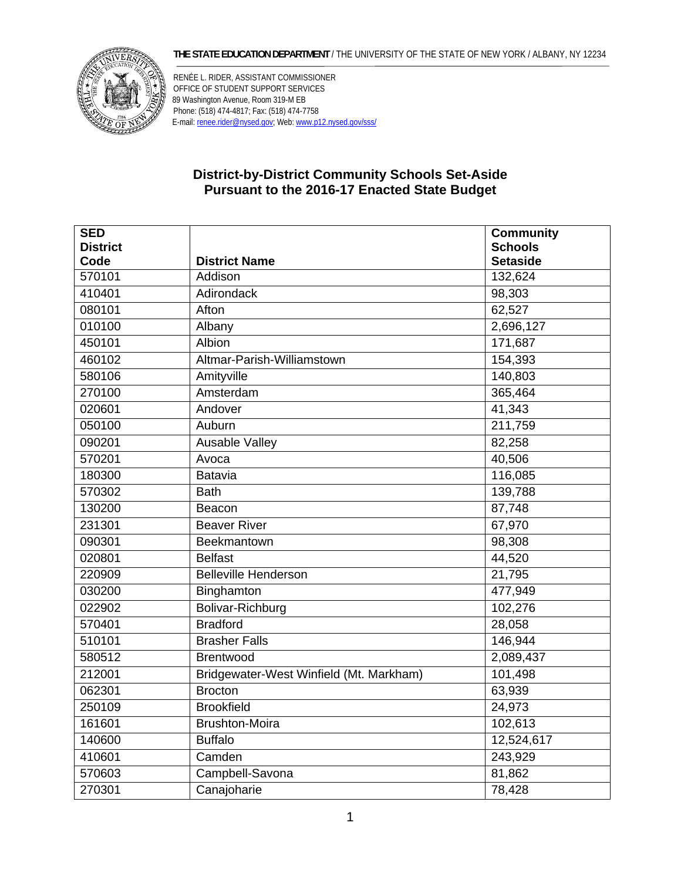## **THE STATE EDUCATION DEPARTMENT** / THE UNIVERSITY OF THE STATE OF NEW YORK / ALBANY, NY 12234



RENÉE L. RIDER, ASSISTANT COMMISSIONER OFFICE OF STUDENT SUPPORT SERVICES 89 Washington Avenue, Room 319-M EB Phone: (518) 474-4817; Fax: (518) 474-7758 E-mail: renee.rider@nysed.gov; Web: www.p12.nysed.gov/sss/

## **District-by-District Community Schools Set-Aside Pursuant to the 2016-17 Enacted State Budget**

| <b>SED</b>      |                                         | <b>Community</b> |
|-----------------|-----------------------------------------|------------------|
| <b>District</b> |                                         | <b>Schools</b>   |
| Code            | <b>District Name</b>                    | <b>Setaside</b>  |
| 570101          | Addison                                 | 132,624          |
| 410401          | Adirondack                              | 98,303           |
| 080101          | Afton                                   | 62,527           |
| 010100          | Albany                                  | 2,696,127        |
| 450101          | <b>Albion</b>                           | 171,687          |
| 460102          | Altmar-Parish-Williamstown              | 154,393          |
| 580106          | Amityville                              | 140,803          |
| 270100          | Amsterdam                               | 365,464          |
| 020601          | Andover                                 | 41,343           |
| 050100          | Auburn                                  | 211,759          |
| 090201          | Ausable Valley                          | 82,258           |
| 570201          | Avoca                                   | 40,506           |
| 180300          | <b>Batavia</b>                          | 116,085          |
| 570302          | <b>Bath</b>                             | 139,788          |
| 130200          | Beacon                                  | 87,748           |
| 231301          | <b>Beaver River</b>                     | 67,970           |
| 090301          | Beekmantown                             | 98,308           |
| 020801          | <b>Belfast</b>                          | 44,520           |
| 220909          | <b>Belleville Henderson</b>             | 21,795           |
| 030200          | Binghamton                              | 477,949          |
| 022902          | Bolivar-Richburg                        | 102,276          |
| 570401          | <b>Bradford</b>                         | 28,058           |
| 510101          | <b>Brasher Falls</b>                    | 146,944          |
| 580512          | Brentwood                               | 2,089,437        |
| 212001          | Bridgewater-West Winfield (Mt. Markham) | 101,498          |
| 062301          | <b>Brocton</b>                          | 63,939           |
| 250109          | <b>Brookfield</b>                       | 24,973           |
| 161601          | <b>Brushton-Moira</b>                   | 102,613          |
| 140600          | <b>Buffalo</b>                          | 12,524,617       |
| 410601          | Camden                                  | 243,929          |
| 570603          | Campbell-Savona                         | 81,862           |
| 270301          | Canajoharie                             | 78,428           |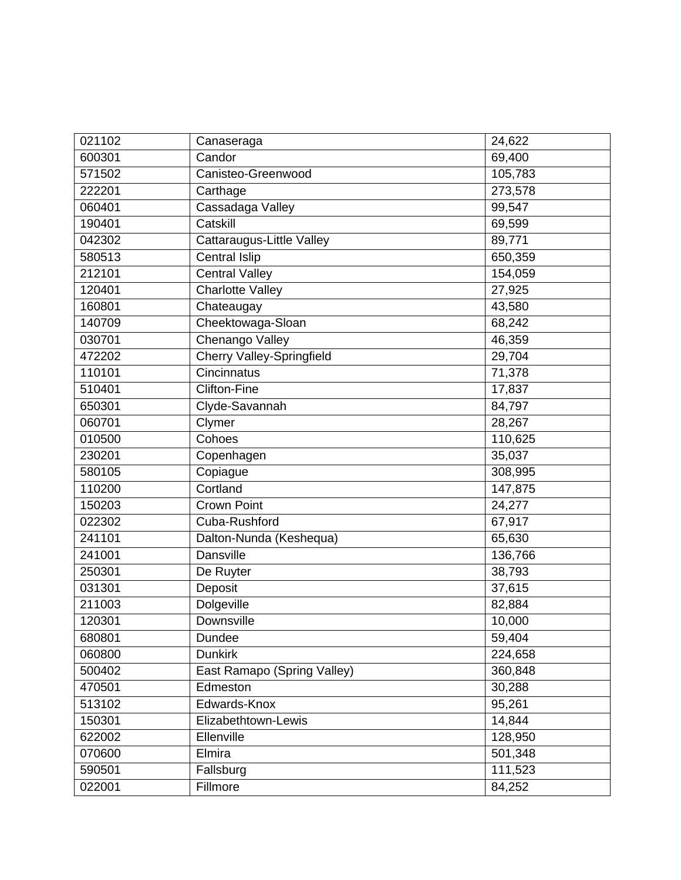| 021102 | Canaseraga                       | 24,622  |
|--------|----------------------------------|---------|
| 600301 | Candor                           | 69,400  |
| 571502 | Canisteo-Greenwood               | 105,783 |
| 222201 | Carthage                         | 273,578 |
| 060401 | Cassadaga Valley                 | 99,547  |
| 190401 | Catskill                         | 69,599  |
| 042302 | Cattaraugus-Little Valley        | 89,771  |
| 580513 | Central Islip                    | 650,359 |
| 212101 | <b>Central Valley</b>            | 154,059 |
| 120401 | <b>Charlotte Valley</b>          | 27,925  |
| 160801 | Chateaugay                       | 43,580  |
| 140709 | Cheektowaga-Sloan                | 68,242  |
| 030701 | Chenango Valley                  | 46,359  |
| 472202 | <b>Cherry Valley-Springfield</b> | 29,704  |
| 110101 | Cincinnatus                      | 71,378  |
| 510401 | <b>Clifton-Fine</b>              | 17,837  |
| 650301 | Clyde-Savannah                   | 84,797  |
| 060701 | Clymer                           | 28,267  |
| 010500 | Cohoes                           | 110,625 |
| 230201 | Copenhagen                       | 35,037  |
| 580105 | Copiague                         | 308,995 |
| 110200 | Cortland                         | 147,875 |
| 150203 | <b>Crown Point</b>               | 24,277  |
| 022302 | Cuba-Rushford                    | 67,917  |
| 241101 | Dalton-Nunda (Keshequa)          | 65,630  |
| 241001 | <b>Dansville</b>                 | 136,766 |
| 250301 | De Ruyter                        | 38,793  |
| 031301 | Deposit                          | 37,615  |
| 211003 | Dolgeville                       | 82,884  |
| 120301 | Downsville                       | 10,000  |
| 680801 | Dundee                           | 59,404  |
| 060800 | <b>Dunkirk</b>                   | 224,658 |
| 500402 | East Ramapo (Spring Valley)      | 360,848 |
| 470501 | Edmeston                         | 30,288  |
| 513102 | Edwards-Knox                     | 95,261  |
| 150301 | Elizabethtown-Lewis              | 14,844  |
| 622002 | Ellenville                       | 128,950 |
| 070600 | Elmira                           | 501,348 |
| 590501 | Fallsburg                        | 111,523 |
| 022001 | Fillmore                         | 84,252  |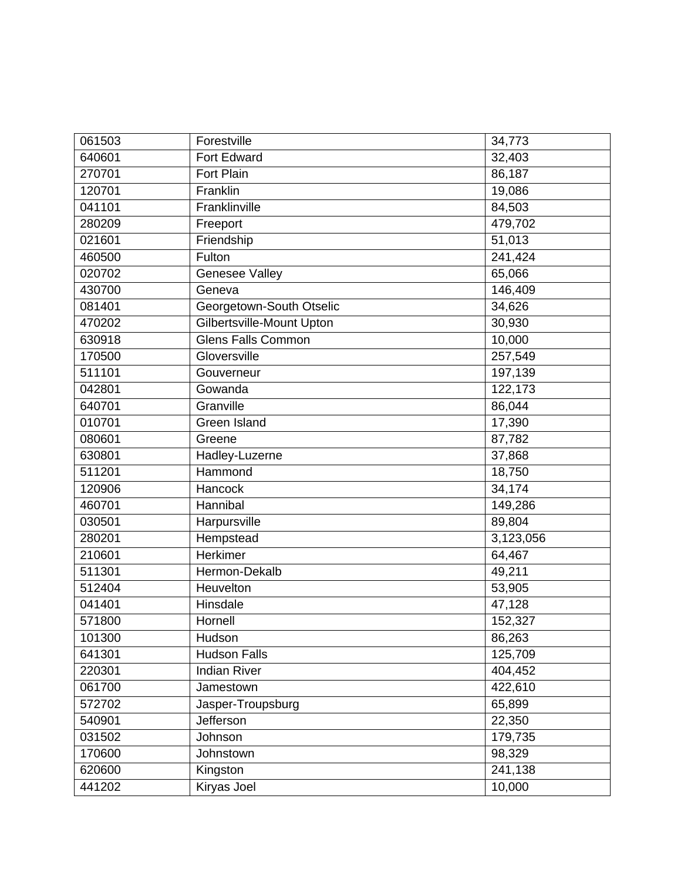| 061503 | Forestville               | 34,773    |
|--------|---------------------------|-----------|
| 640601 | Fort Edward               | 32,403    |
| 270701 | <b>Fort Plain</b>         | 86,187    |
| 120701 | Franklin                  | 19,086    |
| 041101 | Franklinville             | 84,503    |
| 280209 | Freeport                  | 479,702   |
| 021601 | Friendship                | 51,013    |
| 460500 | Fulton                    | 241,424   |
| 020702 | Genesee Valley            | 65,066    |
| 430700 | Geneva                    | 146,409   |
| 081401 | Georgetown-South Otselic  | 34,626    |
| 470202 | Gilbertsville-Mount Upton | 30,930    |
| 630918 | <b>Glens Falls Common</b> | 10,000    |
| 170500 | Gloversville              | 257,549   |
| 511101 | Gouverneur                | 197,139   |
| 042801 | Gowanda                   | 122,173   |
| 640701 | Granville                 | 86,044    |
| 010701 | Green Island              | 17,390    |
| 080601 | Greene                    | 87,782    |
| 630801 | Hadley-Luzerne            | 37,868    |
| 511201 | Hammond                   | 18,750    |
| 120906 | Hancock                   | 34,174    |
| 460701 | Hannibal                  | 149,286   |
| 030501 | Harpursville              | 89,804    |
| 280201 | Hempstead                 | 3,123,056 |
| 210601 | <b>Herkimer</b>           | 64,467    |
| 511301 | Hermon-Dekalb             | 49,211    |
| 512404 | Heuvelton                 | 53,905    |
| 041401 | Hinsdale                  | 47,128    |
| 571800 | Hornell                   | 152,327   |
| 101300 | Hudson                    | 86,263    |
| 641301 | <b>Hudson Falls</b>       | 125,709   |
| 220301 | <b>Indian River</b>       | 404,452   |
| 061700 | Jamestown                 | 422,610   |
| 572702 | Jasper-Troupsburg         | 65,899    |
| 540901 | Jefferson                 | 22,350    |
| 031502 | Johnson                   | 179,735   |
| 170600 | Johnstown                 | 98,329    |
| 620600 | Kingston                  | 241,138   |
| 441202 | Kiryas Joel               | 10,000    |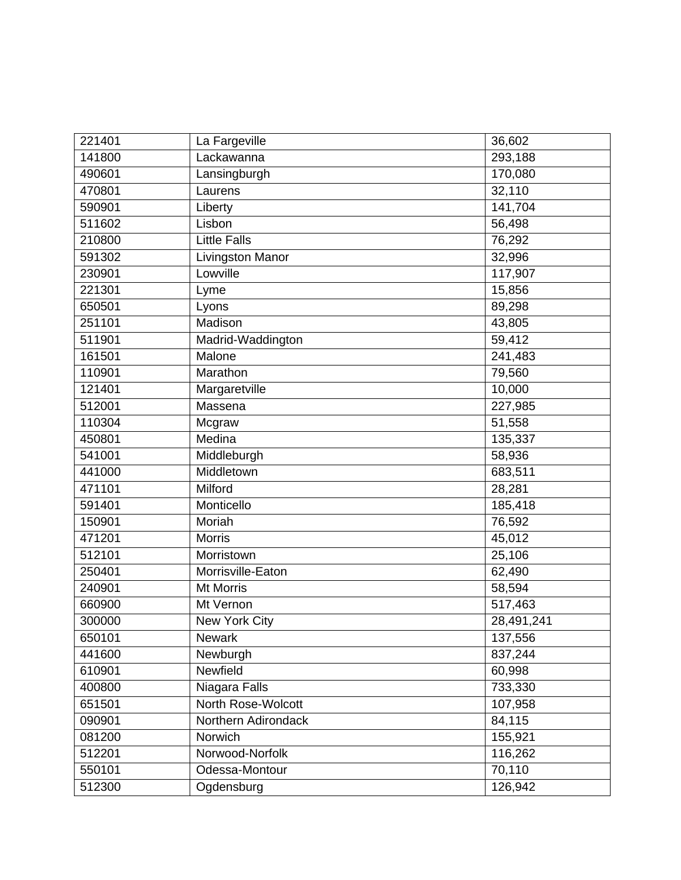| 221401 | La Fargeville       | 36,602     |
|--------|---------------------|------------|
| 141800 | Lackawanna          | 293,188    |
| 490601 | Lansingburgh        | 170,080    |
| 470801 | Laurens             | 32,110     |
| 590901 | Liberty             | 141,704    |
| 511602 | Lisbon              | 56,498     |
| 210800 | <b>Little Falls</b> | 76,292     |
| 591302 | Livingston Manor    | 32,996     |
| 230901 | Lowville            | 117,907    |
| 221301 | Lyme                | 15,856     |
| 650501 | Lyons               | 89,298     |
| 251101 | Madison             | 43,805     |
| 511901 | Madrid-Waddington   | 59,412     |
| 161501 | Malone              | 241,483    |
| 110901 | Marathon            | 79,560     |
| 121401 | Margaretville       | 10,000     |
| 512001 | Massena             | 227,985    |
| 110304 | Mcgraw              | 51,558     |
| 450801 | Medina              | 135,337    |
| 541001 | Middleburgh         | 58,936     |
| 441000 | Middletown          | 683,511    |
| 471101 | Milford             | 28,281     |
| 591401 | Monticello          | 185,418    |
| 150901 | Moriah              | 76,592     |
| 471201 | <b>Morris</b>       | 45,012     |
| 512101 | Morristown          | 25,106     |
| 250401 | Morrisville-Eaton   | 62,490     |
| 240901 | <b>Mt Morris</b>    | 58,594     |
| 660900 | Mt Vernon           | 517,463    |
| 300000 | New York City       | 28,491,241 |
| 650101 | Newark              | 137,556    |
| 441600 | Newburgh            | 837,244    |
| 610901 | Newfield            | 60,998     |
| 400800 | Niagara Falls       | 733,330    |
| 651501 | North Rose-Wolcott  | 107,958    |
| 090901 | Northern Adirondack | 84,115     |
| 081200 | Norwich             | 155,921    |
| 512201 | Norwood-Norfolk     | 116,262    |
| 550101 | Odessa-Montour      | 70,110     |
| 512300 | Ogdensburg          | 126,942    |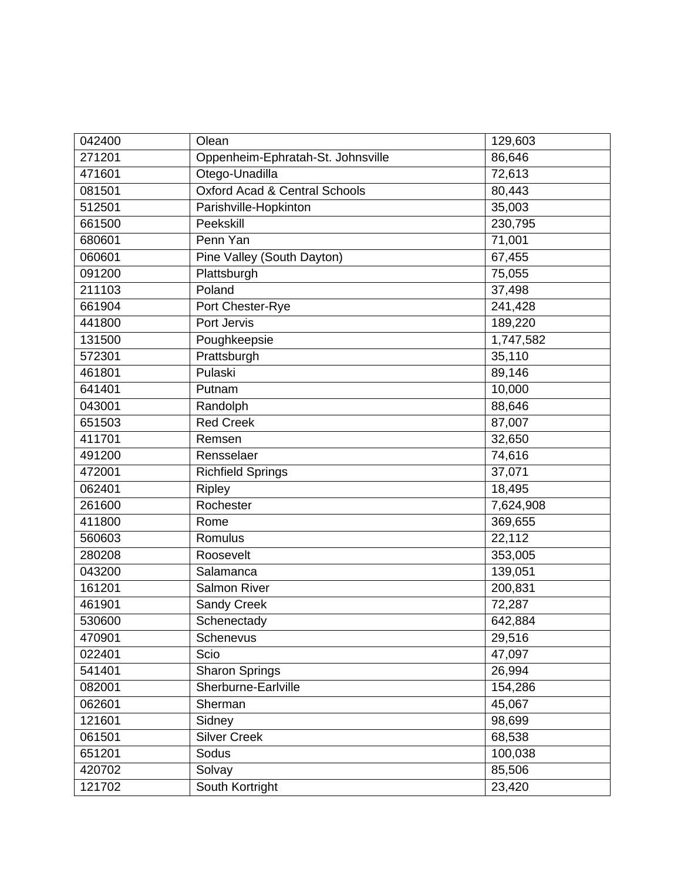| 042400 | Olean                                    | 129,603   |
|--------|------------------------------------------|-----------|
| 271201 | Oppenheim-Ephratah-St. Johnsville        | 86,646    |
| 471601 | Otego-Unadilla                           | 72,613    |
| 081501 | <b>Oxford Acad &amp; Central Schools</b> | 80,443    |
| 512501 | Parishville-Hopkinton                    | 35,003    |
| 661500 | Peekskill                                | 230,795   |
| 680601 | Penn Yan                                 | 71,001    |
| 060601 | Pine Valley (South Dayton)               | 67,455    |
| 091200 | Plattsburgh                              | 75,055    |
| 211103 | Poland                                   | 37,498    |
| 661904 | Port Chester-Rye                         | 241,428   |
| 441800 | Port Jervis                              | 189,220   |
| 131500 | Poughkeepsie                             | 1,747,582 |
| 572301 | Prattsburgh                              | 35,110    |
| 461801 | Pulaski                                  | 89,146    |
| 641401 | Putnam                                   | 10,000    |
| 043001 | Randolph                                 | 88,646    |
| 651503 | <b>Red Creek</b>                         | 87,007    |
| 411701 | Remsen                                   | 32,650    |
| 491200 | Rensselaer                               | 74,616    |
| 472001 | <b>Richfield Springs</b>                 | 37,071    |
| 062401 | <b>Ripley</b>                            | 18,495    |
| 261600 | Rochester                                | 7,624,908 |
| 411800 | Rome                                     | 369,655   |
| 560603 | Romulus                                  | 22,112    |
| 280208 | Roosevelt                                | 353,005   |
| 043200 | Salamanca                                | 139,051   |
| 161201 | Salmon River                             | 200,831   |
| 461901 | Sandy Creek                              | 72,287    |
| 530600 | Schenectady                              | 642,884   |
| 470901 | Schenevus                                | 29,516    |
| 022401 | Scio                                     | 47,097    |
| 541401 | <b>Sharon Springs</b>                    | 26,994    |
| 082001 | Sherburne-Earlville                      | 154,286   |
| 062601 | Sherman                                  | 45,067    |
| 121601 | Sidney                                   | 98,699    |
| 061501 | <b>Silver Creek</b>                      | 68,538    |
| 651201 | Sodus                                    | 100,038   |
| 420702 | Solvay                                   | 85,506    |
| 121702 | South Kortright                          | 23,420    |